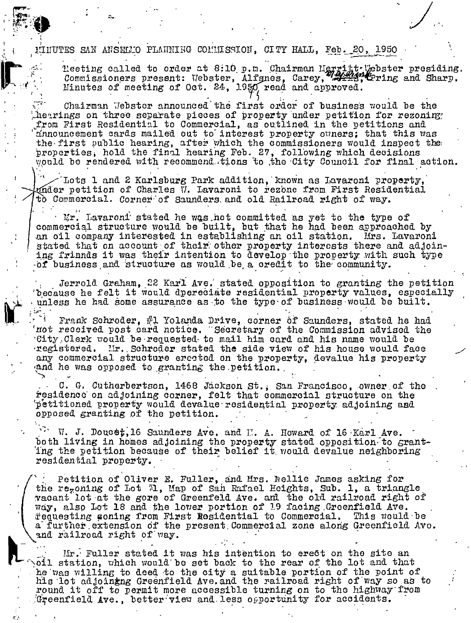MINUTES SAN ANSELLO PLANNING COMMISSION. CITY HALL, Feb. 20, 1950

Neeting called to order at 8:10 p.m. Chairman Herritt Webster presiding.<br>Commissioners present: Webster, Alfgnes, Carey, 44443, Cring and Sharp. Minutes of meeting of Oct. 24, 1950 read and approved.

Chairman Webster announced the first order of business would be the hearings on three separate pieces of property under petition for rezoning. from First Residential to Commercial, as outlined in the petitions and announcement cards mailed out to interest property owners; that this was the first public hearing, after which the commissioners would inspect the properties, hold the final hearing Feb. 27, following which decisions would be rendered with recommend tions to the City Council for final action.

Lots 1 and 2 Karlsburg Park addition, known as Lavaroni property, ndder petition of Charles V. Lavaroni to rezone from First Residential to Commercial. Corner of Saunders and old Railroad right of way.

Mr. Lavaroni stated he was not committed as yet to the type of commercial structure would be built, but that he had been approached by an oil company interested in establishing an oil station. Mrs. Lavaroni stated that on account of their other property interests there and adjoin-<br>ing friands it was their intention to develop the property with such type of business and structure as would be a credit to the community.

Jerrold Graham, 22 Karl Ave. stated opposition to granting the petition 'because he felt it would dpereciate residential property values, especially unless he had some assurance as to the type of business would be built.

Frank Schroder, #1 Yolanda Drive, corner of Saunders, stated he had not received post card notice. "Secretary of the Commission advised the City Clerk would be requested to mail him card and his name would be registered. Mr. Schroder stated the side view of his house would face any commercial structure erected on the property, devalue his property and he was opposed to granting the petition.

C. G. Cutherbertson, 1468 Jáckson St., San Francisco, owner of the residence on adjoining corner, felt that commercial structure on the petitioned property would devalue residential property adjoining and opposed granting of the petition.

W. J. Doucet, 16 Saunders Ave. and H. A. Howard of 16 Karl Ave. both living in homes adjoining the property stated opposition to grant-<br>ing the petition because of their belief it would devalue neighboring residential property.

Petition of Oliver E. Fuller, and Mrs. Nellie James asking for the regoning of Lot "1, Map of San Rafael Heights, Sub. 1, a triangle vacant lot at the gore of Greenfeld Ave. and the old railroad right of way, also Lot 18 and the lower portion of 19 facing Greenfield Ave. fequesting soning from First Residential to Commercial. This would be a further extension of the present Commercial zone along Greenfield Ave. and railroad right of way.

Mr. Fuller stated it was his intention to erect on the site an oil station, which would be set back to the rear of the lot and that he was willing to deed to the city a suitable portion of the point of his lot adjoining Greenfield Ave. and the railroad right of way so as to round it off to permit more accessible turning on to the highway from Greenfield Ave., better view and less opportunity for accidents.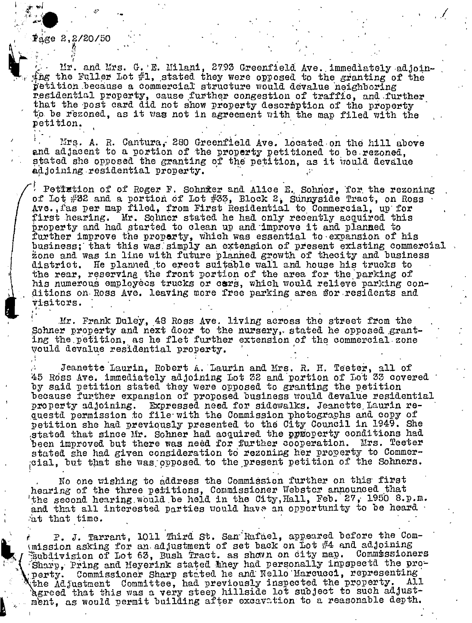## $\frac{1}{2}$ age 2,2/20/50

Mr. and Mrs. G. E. Milani, 2793 Greenfield Ave. immediately adjoin- $\Delta$  ing the Fuller Lot #1, stated they were opposed to the granting of the petition because a commercial structure would devalue neighboring residential property, cause further congestion of traffic, and further that the post card did not show property description of the property to be rezoned, as it was not in agreement with the map filed with the petition.

Mrs. A. R. Cantura, 280 Greenfield Ave. located on the hill above and adjacent to a portion of the property petitioned to be rezoned, stated she opposed the granting of the petition, as it would devalue adjoining residential property.

Petiletion of of Roger F. Schnier and Alice E. Schner, for the rezoning of Lot #32 and a portion of Lot #33, Block 2, Sunnyside Tract, on Ross Ave. fas per map filed, from First Residential to Commercial, up for first hearing. Mr. Sohner stated he had only recently acquired this property and had started to clean up and improve it and planned to further improve the property, which was essential to expansion of his business; that this was simply an extension of present existing commercial zone and was in line with future planned growth of thecity and business district. He planned to erect suitable wall and house his trucks to the rear, reserving the front portion of the area for the parking of his numerous employees trucks or cars, which would relieve parking conditions on Ross Ave. leaving more free parking area for residents and visitors.

Mr. Frank Duley, 48 Ross Ave. living across the street from the Sohner property and next door to the nursery, stated he opposed granting the petition, as he flet further extension of the commercial zone would devalue residential property.

Jeanette Laurin, Robert A. Laurin and Mrs. R. H. Teeter, all of 45 Ross Ave. immediately adjoining Lot 32 and portion of Lot 33 covered by said petition stated they were opposed to granting the petition because further expansion of proposed business would devalue residential property adjoining. Expressed need for sidewalks. Jeanette Laurin requestd permission to file with the Commission photographs and copy of petition she had previously presented to the City Council in 1949. She stated that since Mr. Sohner had acquired the prioperty conditions had been improved but there was need for further cooperation. Mrs. Teeter stated she had given consideration to rezoning her property to Commercial, but that she was opposed to the present petition of the Sohners.

No one wishing to address the Commission further on this first hearing of the three petitions, Commissioner Webster announced that the second hearing would be held in the City, Hall, Feb. 27, 1950 8.p.m. and that all interested parties would have an opportunity to be heard at that time.

P. J. Tarrant, 1011 Third St. San Rafael, appeared before the Comunission asking for an adjustment of set back on Lot  $#4$  and adjoining Commissioners Eubdivision of Lot 63, Bush Tract. as shown on city map. Sharp, Pring and Meyerink stated they had personally inpepectd the property. Commissioner Sharp stated he and Nello Marcucci, representing<br>the Adjustment Committee, had previously inspected the property. Al. A11 Agreed that this was a very steep hillside lot subject to such adjustment, as would permit building after excavation to a reasonable depth.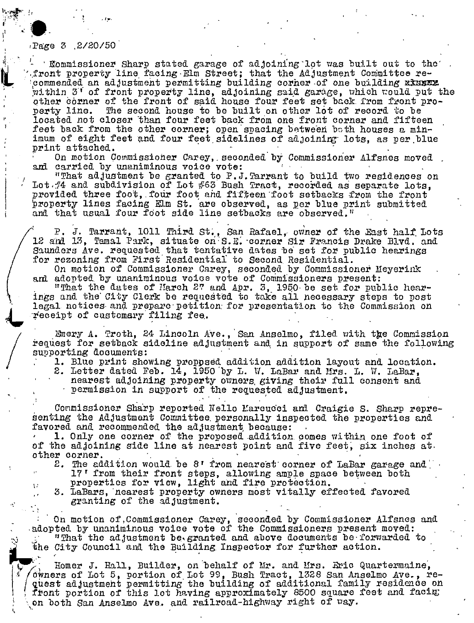## Page 3 2/20/50

' Commissioner Sharp stated garage of adjoining lot was built out to the front property line facing Elm Street; that the Adjustment Committee recommended an adjustment permitting building corner of one building xxxxxx within 3' of front property line, adjoining said garage, which would put the other corner of the front of said house four feet set back from front property line. The second house to be built on other lot of record to be located not closer than four feet back from one front corner and fifteen feet back from the other corner; open spacing between both houses a minimum of eight feet and four feet sidelines of adjoining lots, as per blue print attached.

On motion Commissioner Carey, seconded by Commissioner Alfsnes moved and carried by unaniminous voice vote:

"That adjustment be granted to P.J. Tarrant to build two residences on Lot /4 and subdivision of Lot /63 Bush Tract, recorded as separate lots. provided three foot, four foot and fifteen foot setbacks from the front property lines facing Elm St. are observed, as per blue print submitted and that usual four foot side line setbacks are observed."

P. J. Tarrant, 1011 Third St., San Rafael, owner of the East half Lots 12 and 13. Tamal Park, situate on S.E. corner Sir Francis Drake Blvd. and Saunders Ave. requested that tentative dates be set for public hearings for rezoning from First Residential to Second Residential.

On motion of Commissioner Carey, seconded by Commissioner Meyerink

and adopted by unaniminous voice vote of Commissioners present:<br>"That the dates of Harch 27 and Apr. 3, 1950 be set for public hearings and the City Clerk be requested to take all necessary steps to post legal notices and prepare petition for presentation to the Commission on receipt of customary filing fee.

Emery A. Troth, 24 Lincoln Ave., San Anselmo, filed with the Commission request for setback sideline adjustment and in support of same the following supporting documents:

- 1. Blue print showing proppsed addition addition layout and location.
- 2. Letter dated Feb. 14, 1950 by L. W. LaBar and Mrs. L. W. LaBar,
	- nearest adjoining property owners giving their full consent and

permission in support of the requested adjustment.

Commissioner Sharp reported Nello Marcucci and Craigie S. Sharp representing the Adjustment Committee personally inspected the properties and favored and recommended the adjustment because:

1. Only one corner of the proposed addition comes within one foot of of the adjoining side line at nearest point and five feet, six inches at. other corner.

- 2. The addition would be 8' from nearest corner of LaBar garage and 17' from their front steps, allowing ample space between both
	- properties for view, light and fire protection.
- 3. LaBars, nearest property owners most vitally effected favored granting of the adjustment.

On motion of Commissioner Carey, seconded by Commissioner Alfsnes and adopted by unaniminous voice vote of the Commissioners present moved: "That the adjustment be granted and above documents be forwarded to the City Council and the Building Inspector for further action.

Homer J. Hall, Builder, on behalf of Mr. and Mrs. Eric Quartermaine, owners of Lot 5, portion of Lot 99, Bush Tract, 1328 San Anselmo Ave., request adjustment permitting the building of additional family residence on front portion of this lot having approximately 8500 square feet and facing on both San Anselmo Ave. and railroad-highway right of way.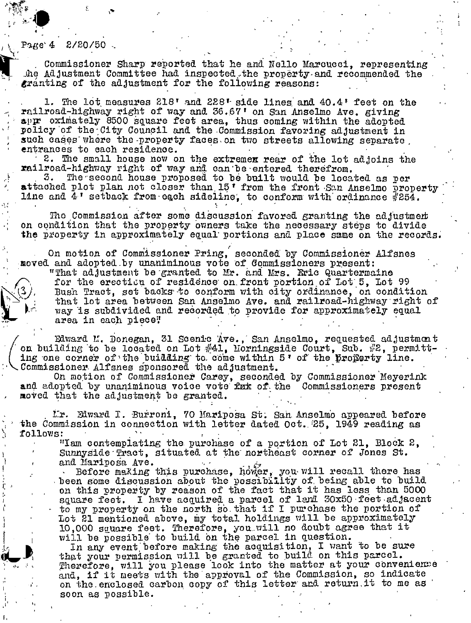## $2/20/50$ Раке 4

Commissioner Sharp reported that he and Nello Marcucci, representing The Adjustment Committee had inspected the property and recommended the granting of the adjustment for the following reasons:

1. The lot measures 218' and 228' side lines and 40.4' feet on the railroad-highway right of way and 36.67' on San Anselmo Ave. giving appr oximately 8500 square feet area, thus coming within the adopted policy of the City Council and the Commission favoring adjustment in such cases where the property faces on two streets allowing separate. entrances to each residence.

2. The small house now on the extremen rear of the lot adjoins the railroad-highway right of way and can be entered therefrom.

3. The second house proposed to be built would be located as per attached plot plan not closer than 15' from the front San Anselmo property line and  $4$ ' setback from each sideline, to conform with ordinance #254.

The Commission after some discussion favored granting the adjustment on condition that the property owners take the necessary steps to divide the property in approximately equal portions and place same on the records.

On motion of Commissioner Pring, seconded by Commissioner Alfsnes moved and adopted by unaniminous vote of Commissioners present:

"That adjustment be granted to Mr. and Mrs. Eric Quartermaine for the erection of residence on front portion of Lot 5, Lot 99 Bush Tract, set backs to conform with city ordinance, on condition that lot area between San Anselmo Ave. and railroad-highway right of way is subdivided and recorded to provide for approximately equal area in each piece?

Edward M. Donegan, 31 Scenic Ave., San Anselmo, requested adjustment on building to be located on Lot  $#41$ . Morningside Court, Sub.  $#2$ , permitting one corner of the buidding to come within 5' of the property line. Commissioner Alfsnes sponsored the adjustment.

On motion of Commissioner Carey, seconded by Commissioner Meyerink<br>and adopted by unaniminous voice vote fax of the Commissioners present moved that the adjustment be granted.

Ir. Edward I. Burroni, 70 Mariposa St. San Anselmo appeared before the Commission in connection with letter dated Oct. 25, 1949 reading as follows:

"Iam contemplating the purchase of a portion of Lot 21, Block 2, Sunnyside Tract, situated at the northeast corner of Jones St. and Mariposa Ave.

Before making this purchase, hower, you will recall there has<br>been some discussion about the possibility of being able to build on this property by reason of the fact that it has less than 5000 square feet. I have acquired a parcel of land 30x50 feet adjacent to my property on the north so that if I purchase the portion of Lot 21 mentioned above, my total holdings will be approximately 10,000 square feet. Therefore, you will no doubt agree that it will be possible to build on the parcel in question.

In any event before making the acquisition, I want to be sure that your permission will be granted to build on this parcel.<br>Therefore, will you please look into the matter at your convenience and, if it meets with the approval of the Commission, so indicate on the enclosed carbon copy of this letter and return it to me as soon as possible.